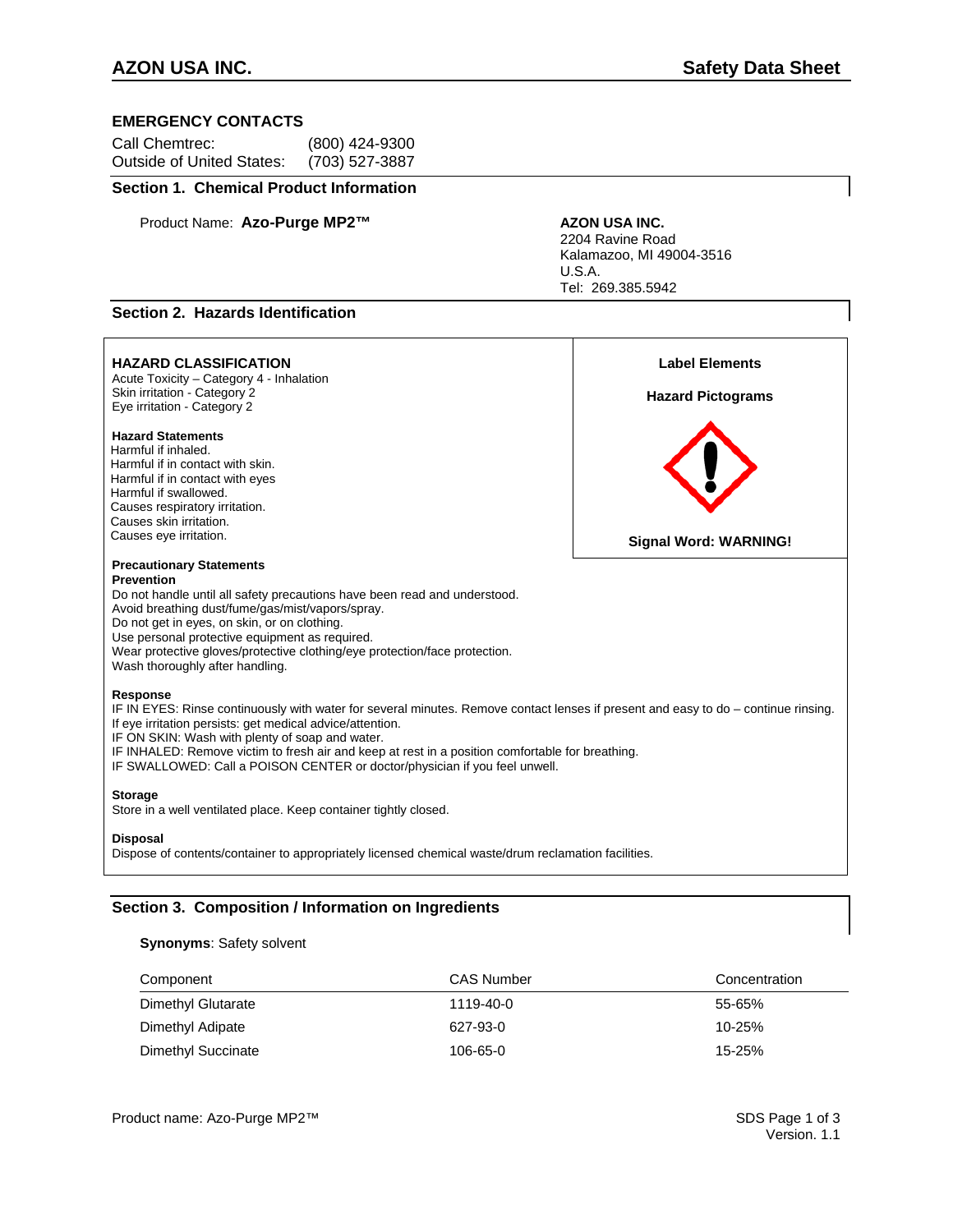# **EMERGENCY CONTACTS**

| Call Chemtrec:            | (800) 424-9300 |
|---------------------------|----------------|
| Outside of United States: | (703) 527-3887 |

# **Section 1. Chemical Product Information**

Product Name: Azo-Purge MP2<sup>™</sup> AZON USA INC.

2204 Ravine Road Kalamazoo, MI 49004-3516 U.S.A. Tel: 269.385.5942

# **Section 2. Hazards Identification**

| <b>HAZARD CLASSIFICATION</b><br>Acute Toxicity - Category 4 - Inhalation<br>Skin irritation - Category 2<br>Eye irritation - Category 2                                                                                                                                                                                                                                                                                                          | <b>Label Elements</b><br><b>Hazard Pictograms</b> |
|--------------------------------------------------------------------------------------------------------------------------------------------------------------------------------------------------------------------------------------------------------------------------------------------------------------------------------------------------------------------------------------------------------------------------------------------------|---------------------------------------------------|
| <b>Hazard Statements</b><br>Harmful if inhaled.<br>Harmful if in contact with skin.<br>Harmful if in contact with eyes<br>Harmful if swallowed.<br>Causes respiratory irritation.<br>Causes skin irritation.<br>Causes eye irritation.                                                                                                                                                                                                           | <b>Signal Word: WARNING!</b>                      |
| <b>Precautionary Statements</b><br><b>Prevention</b><br>Do not handle until all safety precautions have been read and understood.<br>Avoid breathing dust/fume/gas/mist/vapors/spray.<br>Do not get in eyes, on skin, or on clothing.<br>Use personal protective equipment as required.<br>Wear protective gloves/protective clothing/eye protection/face protection.<br>Wash thoroughly after handling.                                         |                                                   |
| Response<br>IF IN EYES: Rinse continuously with water for several minutes. Remove contact lenses if present and easy to do – continue rinsing.<br>If eye irritation persists: get medical advice/attention.<br>IF ON SKIN: Wash with plenty of soap and water.<br>IF INHALED: Remove victim to fresh air and keep at rest in a position comfortable for breathing.<br>IF SWALLOWED: Call a POISON CENTER or doctor/physician if you feel unwell. |                                                   |
| <b>Storage</b><br>Store in a well ventilated place. Keep container tightly closed.                                                                                                                                                                                                                                                                                                                                                               |                                                   |
| <b>Disposal</b><br>Dispose of contents/container to appropriately licensed chemical waste/drum reclamation facilities.                                                                                                                                                                                                                                                                                                                           |                                                   |

# **Section 3. Composition / Information on Ingredients**

# **Synonyms**: Safety solvent

| Component          | <b>CAS Number</b> | Concentration |
|--------------------|-------------------|---------------|
| Dimethyl Glutarate | 1119-40-0         | 55-65%        |
| Dimethyl Adipate   | 627-93-0          | $10 - 25%$    |
| Dimethyl Succinate | 106-65-0          | $15 - 25%$    |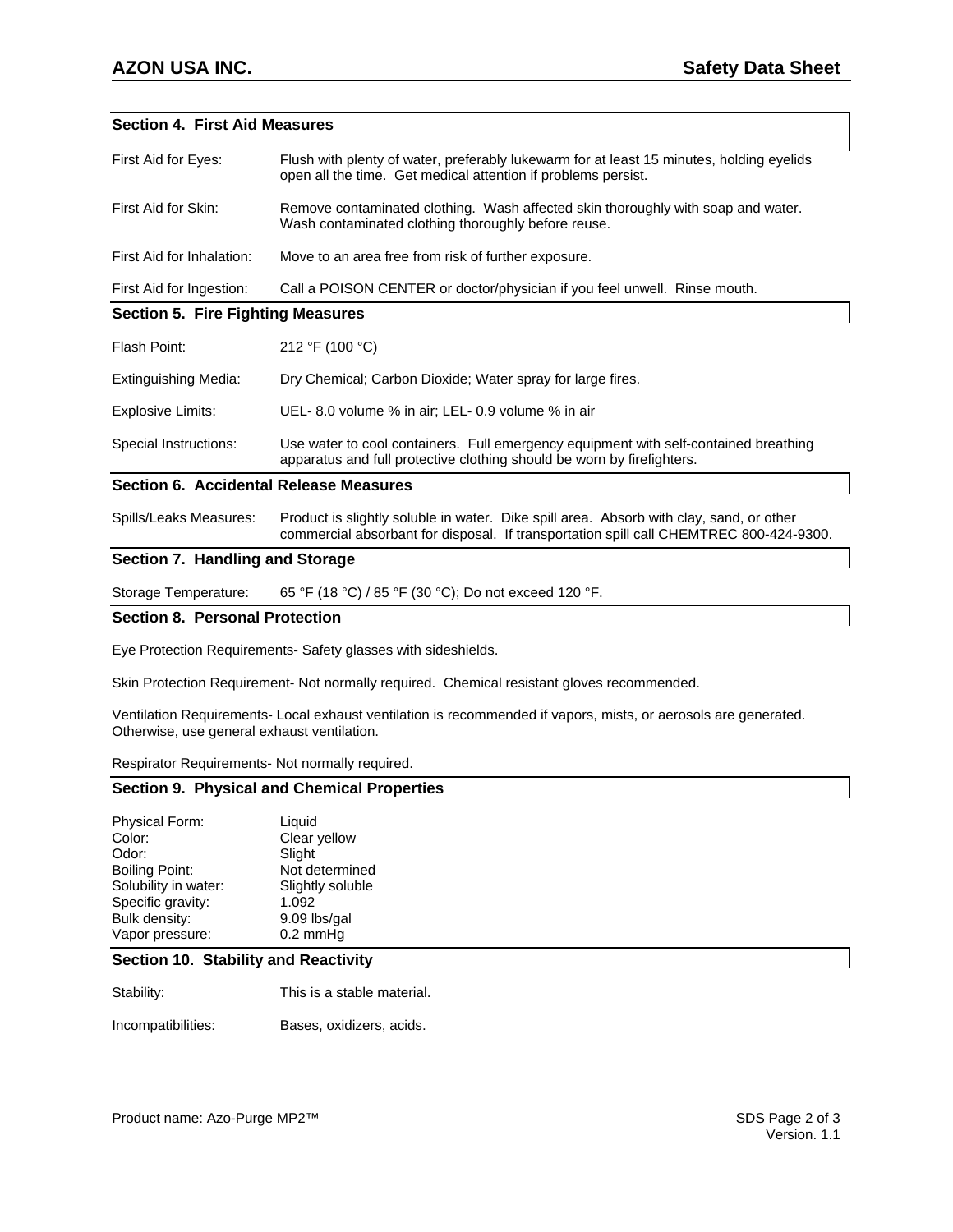# **Section 4. First Aid Measures**

| First Aid for Eyes:                           | Flush with plenty of water, preferably lukewarm for at least 15 minutes, holding eyelids<br>open all the time. Get medical attention if problems persist.                         |  |
|-----------------------------------------------|-----------------------------------------------------------------------------------------------------------------------------------------------------------------------------------|--|
| First Aid for Skin:                           | Remove contaminated clothing. Wash affected skin thoroughly with soap and water.<br>Wash contaminated clothing thoroughly before reuse.                                           |  |
| First Aid for Inhalation:                     | Move to an area free from risk of further exposure.                                                                                                                               |  |
| First Aid for Ingestion:                      | Call a POISON CENTER or doctor/physician if you feel unwell. Rinse mouth.                                                                                                         |  |
| <b>Section 5. Fire Fighting Measures</b>      |                                                                                                                                                                                   |  |
| Flash Point:                                  | 212 °F (100 °C)                                                                                                                                                                   |  |
| <b>Extinguishing Media:</b>                   | Dry Chemical; Carbon Dioxide; Water spray for large fires.                                                                                                                        |  |
| <b>Explosive Limits:</b>                      | UEL-8.0 volume % in air; LEL-0.9 volume % in air                                                                                                                                  |  |
| Special Instructions:                         | Use water to cool containers. Full emergency equipment with self-contained breathing<br>apparatus and full protective clothing should be worn by firefighters.                    |  |
| <b>Section 6. Accidental Release Measures</b> |                                                                                                                                                                                   |  |
| Spills/Leaks Measures:                        | Product is slightly soluble in water. Dike spill area. Absorb with clay, sand, or other<br>commercial absorbant for disposal. If transportation spill call CHEMTREC 800-424-9300. |  |

## **Section 7. Handling and Storage**

Storage Temperature: 65 °F (18 °C) / 85 °F (30 °C); Do not exceed 120 °F.

# **Section 8. Personal Protection**

Eye Protection Requirements- Safety glasses with sideshields.

Skin Protection Requirement- Not normally required. Chemical resistant gloves recommended.

Ventilation Requirements- Local exhaust ventilation is recommended if vapors, mists, or aerosols are generated. Otherwise, use general exhaust ventilation.

Respirator Requirements- Not normally required.

#### **Section 9. Physical and Chemical Properties**

| <b>Physical Form:</b> | Liquid           |
|-----------------------|------------------|
| Color:                | Clear yellow     |
| Odor:                 | Slight           |
| <b>Boiling Point:</b> | Not determined   |
| Solubility in water:  | Slightly soluble |
| Specific gravity:     | 1.092            |
| Bulk density:         | 9.09 lbs/gal     |
| Vapor pressure:       | $0.2$ mmHg       |

# **Section 10. Stability and Reactivity**

Stability: This is a stable material.

Incompatibilities: Bases, oxidizers, acids.